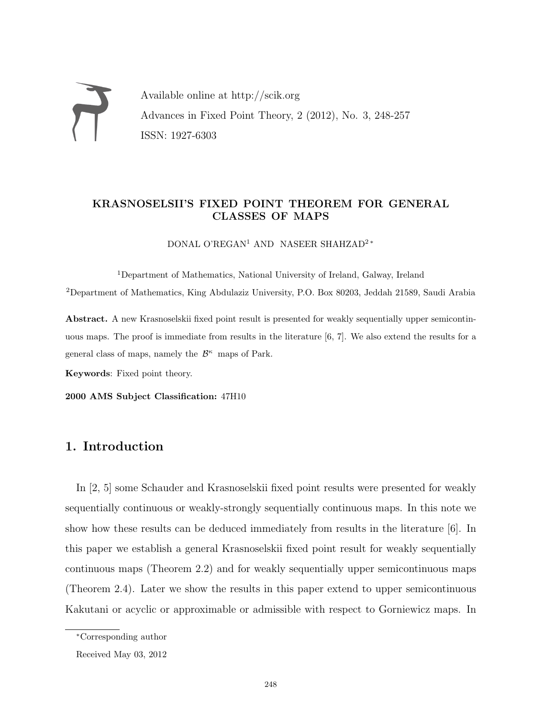Available online at http://scik.org Advances in Fixed Point Theory, 2 (2012), No. 3, 248-257 ISSN: 1927-6303

### KRASNOSELSII'S FIXED POINT THEOREM FOR GENERAL CLASSES OF MAPS

DONAL O'REGAN<sup>1</sup> AND NASEER SHAHZAD<sup>2</sup><sup>\*</sup>

<sup>1</sup>Department of Mathematics, National University of Ireland, Galway, Ireland <sup>2</sup>Department of Mathematics, King Abdulaziz University, P.O. Box 80203, Jeddah 21589, Saudi Arabia

Abstract. A new Krasnoselskii fixed point result is presented for weakly sequentially upper semicontinuous maps. The proof is immediate from results in the literature [6, 7]. We also extend the results for a general class of maps, namely the  $\mathcal{B}^{\kappa}$  maps of Park.

Keywords: Fixed point theory.

2000 AMS Subject Classification: 47H10

# 1. Introduction

In [2, 5] some Schauder and Krasnoselskii fixed point results were presented for weakly sequentially continuous or weakly-strongly sequentially continuous maps. In this note we show how these results can be deduced immediately from results in the literature [6]. In this paper we establish a general Krasnoselskii fixed point result for weakly sequentially continuous maps (Theorem 2.2) and for weakly sequentially upper semicontinuous maps (Theorem 2.4). Later we show the results in this paper extend to upper semicontinuous Kakutani or acyclic or approximable or admissible with respect to Gorniewicz maps. In

<sup>∗</sup>Corresponding author

Received May 03, 2012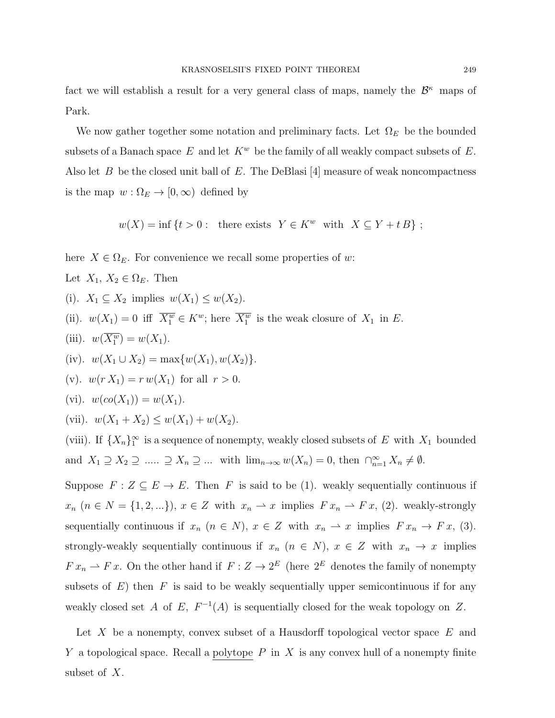fact we will establish a result for a very general class of maps, namely the  $\mathcal{B}^{\kappa}$  maps of Park.

We now gather together some notation and preliminary facts. Let  $\Omega_E$  be the bounded subsets of a Banach space E and let  $K^w$  be the family of all weakly compact subsets of E. Also let  $B$  be the closed unit ball of  $E$ . The DeBlasi [4] measure of weak noncompactness is the map  $w : \Omega_E \to [0, \infty)$  defined by

 $w(X) = \inf \{t > 0: \text{ there exists } Y \in K^w \text{ with } X \subseteq Y + tB\};$ 

here  $X \in \Omega_E$ . For convenience we recall some properties of w:

Let  $X_1, X_2 \in \Omega_E$ . Then

- (i).  $X_1 \subseteq X_2$  implies  $w(X_1) \leq w(X_2)$ .
- (ii).  $w(X_1) = 0$  iff  $\overline{X_1^w} \in K^w$ ; here  $\overline{X_1^w}$  is the weak closure of  $X_1$  in E.
- (iii).  $w(\overline{X_1^w}) = w(X_1)$ .
- (iv).  $w(X_1 \cup X_2) = \max\{w(X_1), w(X_2)\}.$
- (v).  $w(r X_1) = r w(X_1)$  for all  $r > 0$ .
- (vi).  $w(co(X_1)) = w(X_1)$ .
- (vii).  $w(X_1 + X_2) \leq w(X_1) + w(X_2)$ .

(viii). If  $\{X_n\}_1^{\infty}$  is a sequence of nonempty, weakly closed subsets of E with  $X_1$  bounded and  $X_1 \supseteq X_2 \supseteq ... \supseteq X_n \supseteq ...$  with  $\lim_{n\to\infty} w(X_n) = 0$ , then  $\bigcap_{n=1}^{\infty} X_n \neq \emptyset$ .

Suppose  $F: Z \subseteq E \to E$ . Then F is said to be (1). weakly sequentially continuous if  $x_n$   $(n \in N = \{1, 2, ...\}), x \in Z$  with  $x_n \to x$  implies  $Fx_n \to Fx$ , (2). weakly-strongly sequentially continuous if  $x_n$   $(n \in N)$ ,  $x \in Z$  with  $x_n \to x$  implies  $Fx_n \to Fx$ , (3). strongly-weakly sequentially continuous if  $x_n$   $(n \in N)$ ,  $x \in Z$  with  $x_n \to x$  implies  $F x_n \rightharpoonup F x$ . On the other hand if  $F : Z \to 2^E$  (here  $2^E$  denotes the family of nonempty subsets of  $E$ ) then  $F$  is said to be weakly sequentially upper semicontinuous if for any weakly closed set A of E,  $F^{-1}(A)$  is sequentially closed for the weak topology on Z.

Let X be a nonempty, convex subset of a Hausdorff topological vector space  $E$  and Y a topological space. Recall a polytope  $P$  in  $X$  is any convex hull of a nonempty finite subset of X.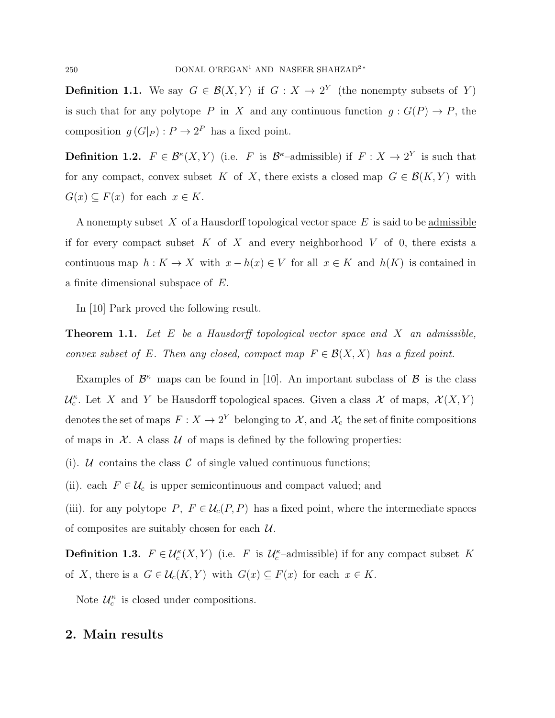**Definition 1.1.** We say  $G \in \mathcal{B}(X, Y)$  if  $G : X \to 2^Y$  (the nonempty subsets of Y) is such that for any polytope P in X and any continuous function  $g: G(P) \to P$ , the composition  $g(G|_P) : P \to 2^P$  has a fixed point.

**Definition 1.2.**  $F \in \mathcal{B}^{\kappa}(X, Y)$  (i.e. F is  $\mathcal{B}^{\kappa}$ -admissible) if  $F : X \to 2^Y$  is such that for any compact, convex subset K of X, there exists a closed map  $G \in \mathcal{B}(K, Y)$  with  $G(x) \subseteq F(x)$  for each  $x \in K$ .

A nonempty subset X of a Hausdorff topological vector space  $E$  is said to be admissible if for every compact subset  $K$  of  $X$  and every neighborhood  $V$  of 0, there exists a continuous map  $h: K \to X$  with  $x - h(x) \in V$  for all  $x \in K$  and  $h(K)$  is contained in a finite dimensional subspace of E.

In [10] Park proved the following result.

**Theorem 1.1.** Let  $E$  be a Hausdorff topological vector space and  $X$  an admissible, convex subset of E. Then any closed, compact map  $F \in \mathcal{B}(X,X)$  has a fixed point.

Examples of  $\mathcal{B}^{\kappa}$  maps can be found in [10]. An important subclass of  $\mathcal{B}$  is the class  $\mathcal{U}_c^{\kappa}$ . Let X and Y be Hausdorff topological spaces. Given a class X of maps,  $\mathcal{X}(X, Y)$ denotes the set of maps  $F: X \to 2^Y$  belonging to  $\mathcal{X}$ , and  $\mathcal{X}_c$  the set of finite compositions of maps in  $\mathcal{X}$ . A class  $\mathcal{U}$  of maps is defined by the following properties:

(i). U contains the class C of single valued continuous functions;

(ii). each  $F \in \mathcal{U}_c$  is upper semicontinuous and compact valued; and

(iii). for any polytope P,  $F \in \mathcal{U}_c(P, P)$  has a fixed point, where the intermediate spaces of composites are suitably chosen for each  $\mathcal{U}$ .

**Definition 1.3.**  $F \in \mathcal{U}_c^{\kappa}(X, Y)$  (i.e. F is  $\mathcal{U}_c^{\kappa}$ -admissible) if for any compact subset K of X, there is a  $G \in \mathcal{U}_c(K, Y)$  with  $G(x) \subseteq F(x)$  for each  $x \in K$ .

Note  $\mathcal{U}_c^{\kappa}$  is closed under compositions.

## 2. Main results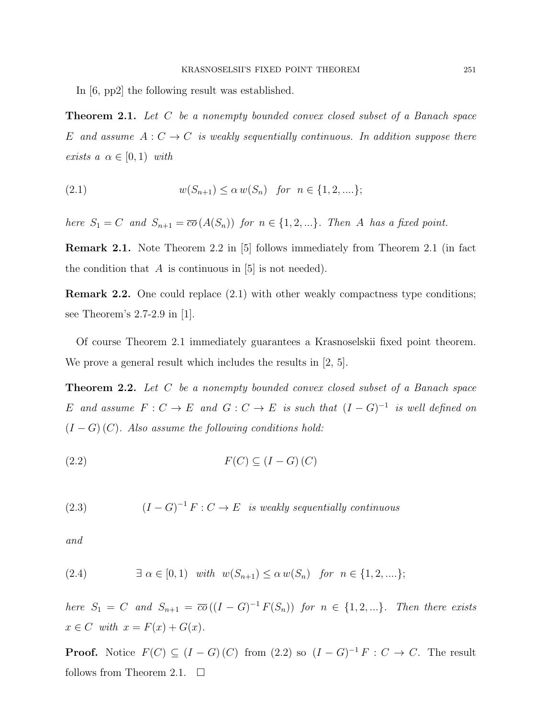In [6, pp2] the following result was established.

**Theorem 2.1.** Let C be a nonempty bounded convex closed subset of a Banach space E and assume  $A: C \to C$  is weakly sequentially continuous. In addition suppose there exists  $a \alpha \in [0, 1)$  with

(2.1) 
$$
w(S_{n+1}) \le \alpha w(S_n) \text{ for } n \in \{1, 2, \ldots\};
$$

here  $S_1 = C$  and  $S_{n+1} = \overline{co}(A(S_n))$  for  $n \in \{1, 2, ...\}$ . Then A has a fixed point.

Remark 2.1. Note Theorem 2.2 in [5] follows immediately from Theorem 2.1 (in fact the condition that  $A$  is continuous in [5] is not needed).

Remark 2.2. One could replace (2.1) with other weakly compactness type conditions; see Theorem's 2.7-2.9 in [1].

Of course Theorem 2.1 immediately guarantees a Krasnoselskii fixed point theorem. We prove a general result which includes the results in [2, 5].

**Theorem 2.2.** Let C be a nonempty bounded convex closed subset of a Banach space E and assume  $F: C \to E$  and  $G: C \to E$  is such that  $(I-G)^{-1}$  is well defined on  $(I - G)(C)$ . Also assume the following conditions hold:

$$
F(C) \subseteq (I - G)(C)
$$

(2.3)  $(I - G)^{-1} F : C \to E$  is weakly sequentially continuous

and

(2.4) 
$$
\exists \alpha \in [0,1) \text{ with } w(S_{n+1}) \leq \alpha w(S_n) \text{ for } n \in \{1,2,...\};
$$

here  $S_1 = C$  and  $S_{n+1} = \overline{co}((I - G)^{-1}F(S_n))$  for  $n \in \{1, 2, ...\}$ . Then there exists  $x \in C$  with  $x = F(x) + G(x)$ .

**Proof.** Notice  $F(C) \subseteq (I - G)(C)$  from  $(2.2)$  so  $(I - G)^{-1}F : C \to C$ . The result follows from Theorem 2.1.  $\Box$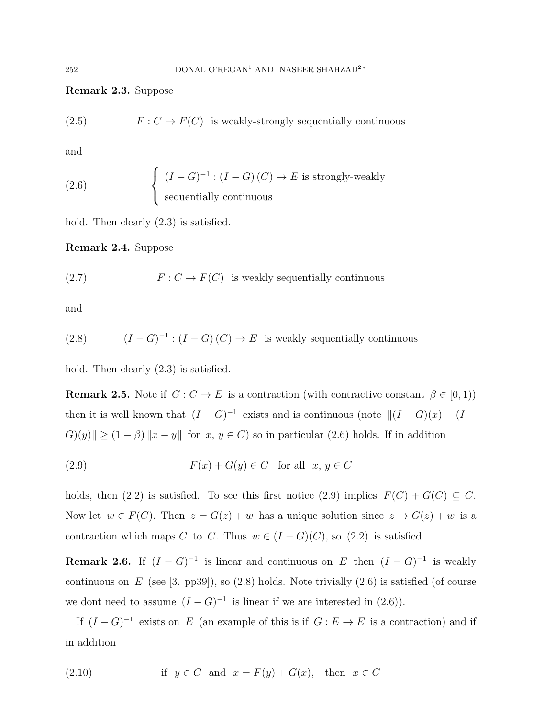#### Remark 2.3. Suppose

(2.5)  $F : C \to F(C)$  is weakly-strongly sequentially continuous

and

(2.6) 
$$
\begin{cases} (I - G)^{-1} : (I - G)(C) \to E \text{ is strongly-weakly} \\ \text{sequentially continuous} \end{cases}
$$

hold. Then clearly  $(2.3)$  is satisfied.

Remark 2.4. Suppose

(2.7) 
$$
F: C \to F(C) \text{ is weakly sequentially continuous}
$$

and

(2.8) 
$$
(I - G)^{-1} : (I - G)(C) \to E
$$
 is weakly sequentially continuous

hold. Then clearly  $(2.3)$  is satisfied.

**Remark 2.5.** Note if  $G: C \to E$  is a contraction (with contractive constant  $\beta \in [0,1)$ ) then it is well known that  $(I - G)^{-1}$  exists and is continuous (note  $||(I - G)(x) - (I - G)(x)||$  $G(y)$  $|| \ge (1 - \beta) ||x - y||$  for  $x, y \in C$ ) so in particular (2.6) holds. If in addition

(2.9) 
$$
F(x) + G(y) \in C \quad \text{for all} \quad x, y \in C
$$

holds, then (2.2) is satisfied. To see this first notice (2.9) implies  $F(C) + G(C) \subseteq C$ . Now let  $w \in F(C)$ . Then  $z = G(z) + w$  has a unique solution since  $z \to G(z) + w$  is a contraction which maps C to C. Thus  $w \in (I - G)(C)$ , so  $(2.2)$  is satisfied.

**Remark 2.6.** If  $(I - G)^{-1}$  is linear and continuous on E then  $(I - G)^{-1}$  is weakly continuous on  $E$  (see [3. pp39]), so (2.8) holds. Note trivially (2.6) is satisfied (of course we dont need to assume  $(I - G)^{-1}$  is linear if we are interested in (2.6)).

If  $(I - G)^{-1}$  exists on E (an example of this is if  $G : E \to E$  is a contraction) and if in addition

(2.10) if 
$$
y \in C
$$
 and  $x = F(y) + G(x)$ , then  $x \in C$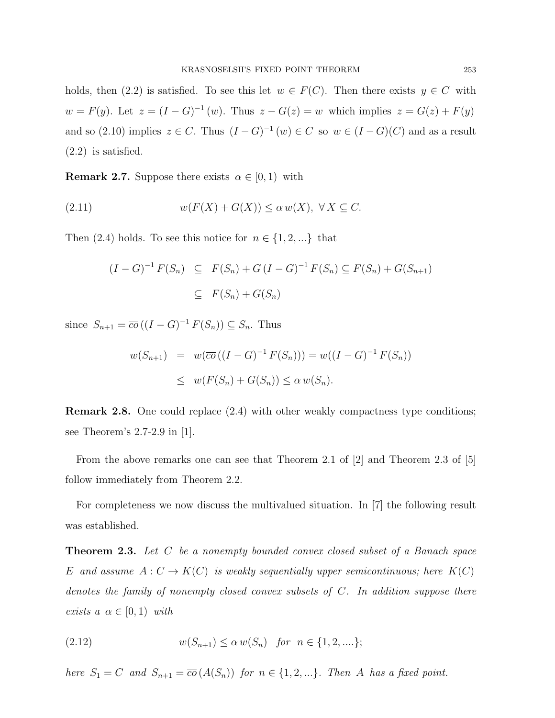holds, then (2.2) is satisfied. To see this let  $w \in F(C)$ . Then there exists  $y \in C$  with  $w = F(y)$ . Let  $z = (I - G)^{-1}(w)$ . Thus  $z - G(z) = w$  which implies  $z = G(z) + F(y)$ and so (2.10) implies  $z \in C$ . Thus  $(I - G)^{-1}(w) \in C$  so  $w \in (I - G)(C)$  and as a result (2.2) is satisfied.

**Remark 2.7.** Suppose there exists  $\alpha \in [0, 1)$  with

(2.11) 
$$
w(F(X) + G(X)) \le \alpha w(X), \ \forall X \subseteq C.
$$

Then (2.4) holds. To see this notice for  $n \in \{1, 2, ...\}$  that

$$
(I - G)^{-1} F(S_n) \subseteq F(S_n) + G (I - G)^{-1} F(S_n) \subseteq F(S_n) + G(S_{n+1})
$$
  

$$
\subseteq F(S_n) + G(S_n)
$$

since  $S_{n+1} = \overline{co} ((I - G)^{-1} F(S_n)) \subseteq S_n$ . Thus

$$
w(S_{n+1}) = w(\overline{co}((I - G)^{-1} F(S_n))) = w((I - G)^{-1} F(S_n))
$$
  
 
$$
\leq w(F(S_n) + G(S_n)) \leq \alpha w(S_n).
$$

Remark 2.8. One could replace (2.4) with other weakly compactness type conditions; see Theorem's 2.7-2.9 in [1].

From the above remarks one can see that Theorem 2.1 of [2] and Theorem 2.3 of [5] follow immediately from Theorem 2.2.

For completeness we now discuss the multivalued situation. In [7] the following result was established.

**Theorem 2.3.** Let C be a nonempty bounded convex closed subset of a Banach space E and assume  $A: C \to K(C)$  is weakly sequentially upper semicontinuous; here  $K(C)$ denotes the family of nonempty closed convex subsets of C. In addition suppose there exists  $a \alpha \in [0,1)$  with

(2.12) 
$$
w(S_{n+1}) \le \alpha w(S_n) \text{ for } n \in \{1, 2, \ldots\};
$$

here  $S_1 = C$  and  $S_{n+1} = \overline{co}(A(S_n))$  for  $n \in \{1, 2, ...\}$ . Then A has a fixed point.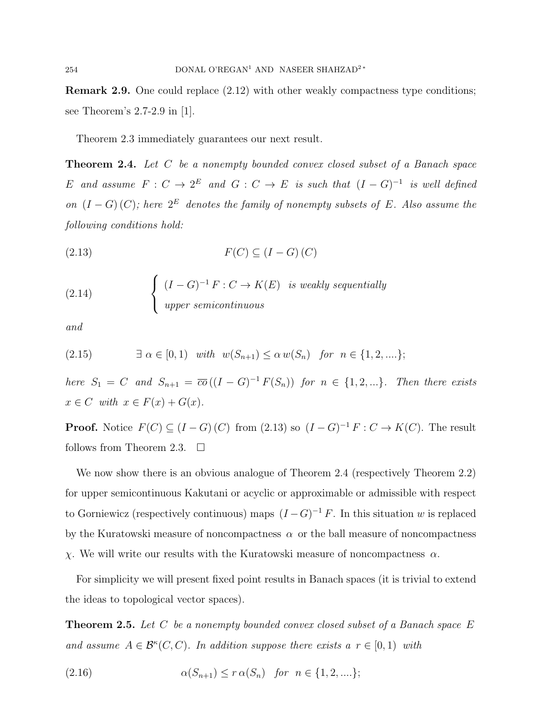Remark 2.9. One could replace (2.12) with other weakly compactness type conditions; see Theorem's 2.7-2.9 in [1].

Theorem 2.3 immediately guarantees our next result.

**Theorem 2.4.** Let C be a nonempty bounded convex closed subset of a Banach space E and assume  $F: C \to 2^E$  and  $G: C \to E$  is such that  $(I-G)^{-1}$  is well defined on  $(I - G)(C)$ ; here  $2^E$  denotes the family of nonempty subsets of E. Also assume the following conditions hold:

$$
(2.13)\qquad \qquad F(C) \subseteq (I - G)(C)
$$

(2.14) 
$$
\begin{cases} (I - G)^{-1} F : C \to K(E) & \text{is weakly sequentially} \\ \text{upper semicontinuous} \end{cases}
$$

and

$$
(2.15) \qquad \exists \alpha \in [0,1) \quad with \quad w(S_{n+1}) \le \alpha \, w(S_n) \quad \text{for} \quad n \in \{1,2,\ldots\};
$$

here  $S_1 = C$  and  $S_{n+1} = \overline{co}((I - G)^{-1}F(S_n))$  for  $n \in \{1, 2, ...\}$ . Then there exists  $x \in C$  with  $x \in F(x) + G(x)$ .

**Proof.** Notice  $F(C) \subseteq (I - G)(C)$  from  $(2.13)$  so  $(I - G)^{-1} F : C \to K(C)$ . The result follows from Theorem 2.3.  $\Box$ 

We now show there is an obvious analogue of Theorem 2.4 (respectively Theorem 2.2) for upper semicontinuous Kakutani or acyclic or approximable or admissible with respect to Gorniewicz (respectively continuous) maps  $(I - G)^{-1} F$ . In this situation w is replaced by the Kuratowski measure of noncompactness  $\alpha$  or the ball measure of noncompactness χ. We will write our results with the Kuratowski measure of noncompactness α.

For simplicity we will present fixed point results in Banach spaces (it is trivial to extend the ideas to topological vector spaces).

**Theorem 2.5.** Let C be a nonempty bounded convex closed subset of a Banach space  $E$ and assume  $A \in \mathcal{B}^{\kappa}(C, C)$ . In addition suppose there exists a  $r \in [0, 1)$  with

(2.16) 
$$
\alpha(S_{n+1}) \le r \alpha(S_n) \text{ for } n \in \{1, 2, \ldots\};
$$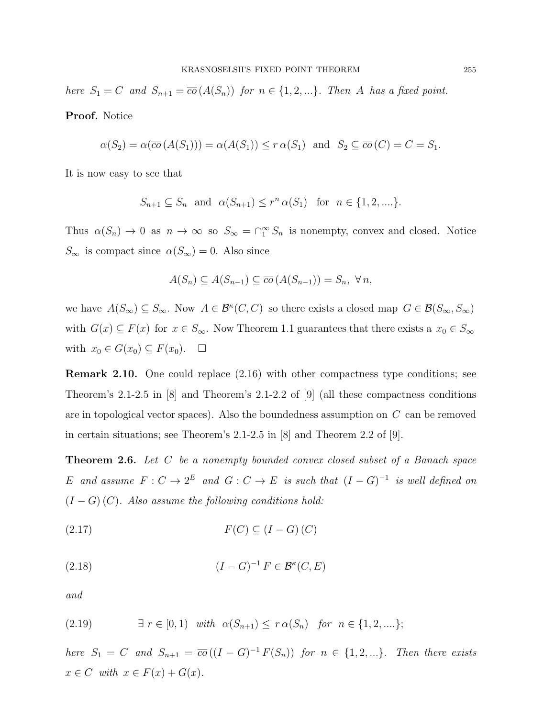here  $S_1 = C$  and  $S_{n+1} = \overline{co}(A(S_n))$  for  $n \in \{1, 2, ...\}$ . Then A has a fixed point. Proof. Notice

$$
\alpha(S_2) = \alpha(\overline{co}(A(S_1))) = \alpha(A(S_1)) \le r \alpha(S_1) \text{ and } S_2 \subseteq \overline{co}(C) = C = S_1.
$$

It is now easy to see that

$$
S_{n+1} \subseteq S_n
$$
 and  $\alpha(S_{n+1}) \le r^n \alpha(S_1)$  for  $n \in \{1, 2, ...\}$ .

Thus  $\alpha(S_n) \to 0$  as  $n \to \infty$  so  $S_\infty = \bigcap_{1}^{\infty} S_n$  is nonempty, convex and closed. Notice  $S_{\infty}$  is compact since  $\alpha(S_{\infty}) = 0$ . Also since

$$
A(S_n) \subseteq A(S_{n-1}) \subseteq \overline{co}(A(S_{n-1})) = S_n, \ \forall n,
$$

we have  $A(S_{\infty}) \subseteq S_{\infty}$ . Now  $A \in \mathcal{B}^{k}(C, C)$  so there exists a closed map  $G \in \mathcal{B}(S_{\infty}, S_{\infty})$ with  $G(x) \subseteq F(x)$  for  $x \in S_{\infty}$ . Now Theorem 1.1 guarantees that there exists a  $x_0 \in S_{\infty}$ with  $x_0 \in G(x_0) \subseteq F(x_0)$ .  $\Box$ 

Remark 2.10. One could replace (2.16) with other compactness type conditions; see Theorem's 2.1-2.5 in [8] and Theorem's 2.1-2.2 of [9] (all these compactness conditions are in topological vector spaces). Also the boundedness assumption on C can be removed in certain situations; see Theorem's 2.1-2.5 in [8] and Theorem 2.2 of [9].

**Theorem 2.6.** Let C be a nonempty bounded convex closed subset of a Banach space E and assume  $F: C \to 2^E$  and  $G: C \to E$  is such that  $(I-G)^{-1}$  is well defined on  $(I - G)(C)$ . Also assume the following conditions hold:

$$
(2.17)\qquad \qquad F(C) \subseteq (I - G)(C)
$$

$$
(1 - G)^{-1} F \in \mathcal{B}^{\kappa}(C, E)
$$

and

(2.19) 
$$
\exists r \in [0,1) \text{ with } \alpha(S_{n+1}) \leq r \alpha(S_n) \text{ for } n \in \{1,2,...\};
$$

here  $S_1 = C$  and  $S_{n+1} = \overline{co}((I - G)^{-1}F(S_n))$  for  $n \in \{1, 2, ...\}$ . Then there exists  $x \in C$  with  $x \in F(x) + G(x)$ .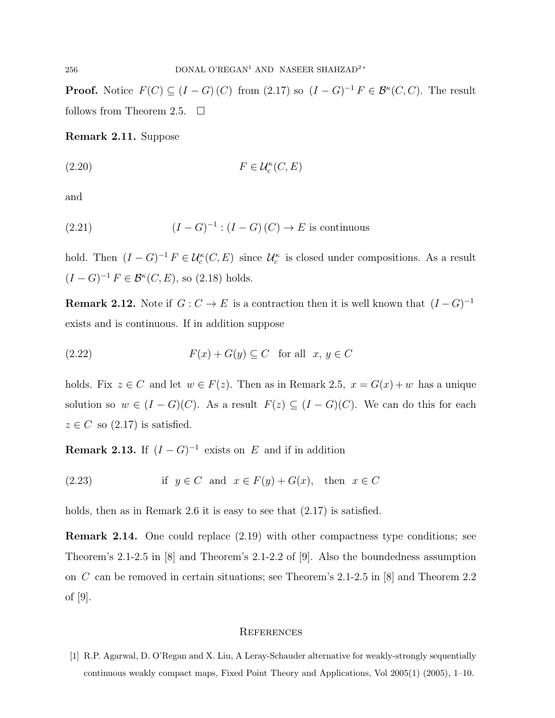**Proof.** Notice  $F(C) \subseteq (I - G)(C)$  from  $(2.17)$  so  $(I - G)^{-1} F \in \mathcal{B}^{\kappa}(C, C)$ . The result follows from Theorem 2.5.  $\Box$ 

Remark 2.11. Suppose

$$
(2.20) \t\t\t F \in \mathcal{U}_c^{\kappa}(C, E)
$$

and

(2.21) 
$$
(I - G)^{-1} : (I - G)(C) \to E \text{ is continuous}
$$

hold. Then  $(I - G)^{-1} F \in \mathcal{U}_c^{\kappa}(C, E)$  since  $\mathcal{U}_c^{\kappa}$  is closed under compositions. As a result  $(I - G)^{-1} F \in \mathcal{B}^{\kappa}(C, E)$ , so  $(2.18)$  holds.

**Remark 2.12.** Note if  $G: C \to E$  is a contraction then it is well known that  $(I-G)^{-1}$ exists and is continuous. If in addition suppose

(2.22) 
$$
F(x) + G(y) \subseteq C \text{ for all } x, y \in C
$$

holds. Fix  $z \in C$  and let  $w \in F(z)$ . Then as in Remark 2.5,  $x = G(x) + w$  has a unique solution so  $w \in (I - G)(C)$ . As a result  $F(z) \subseteq (I - G)(C)$ . We can do this for each  $z \in C$  so  $(2.17)$  is satisfied.

**Remark 2.13.** If  $(I - G)^{-1}$  exists on E and if in addition

(2.23) if 
$$
y \in C
$$
 and  $x \in F(y) + G(x)$ , then  $x \in C$ 

holds, then as in Remark 2.6 it is easy to see that  $(2.17)$  is satisfied.

Remark 2.14. One could replace (2.19) with other compactness type conditions; see Theorem's 2.1-2.5 in [8] and Theorem's 2.1-2.2 of [9]. Also the boundedness assumption on C can be removed in certain situations; see Theorem's 2.1-2.5 in [8] and Theorem 2.2 of [9].

#### **REFERENCES**

[1] R.P. Agarwal, D. O'Regan and X. Liu, A Leray-Schauder alternative for weakly-strongly sequentially continuous weakly compact maps, Fixed Point Theory and Applications, Vol 2005(1) (2005), 1–10.